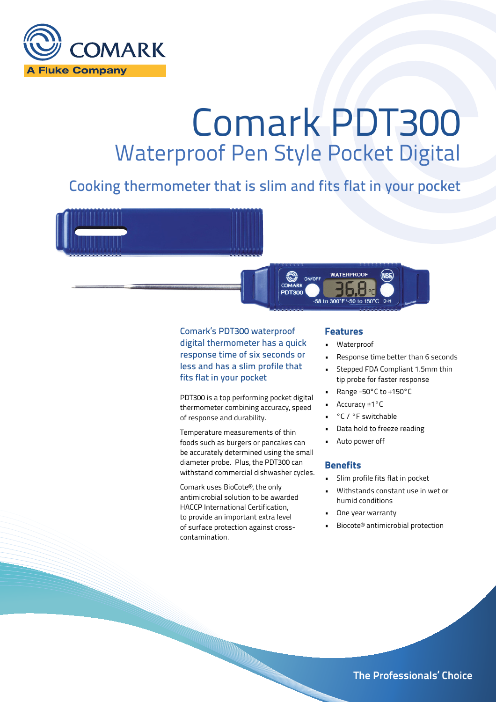

# Comark PDT300 Waterproof Pen Style Pocket Digital

### Cooking thermometer that is slim and fits flat in your pocket



digital thermometer has a quick response time of six seconds or less and has a slim profile that fits flat in your pocket

PDT300 is a top performing pocket digital thermometer combining accuracy, speed of response and durability.

Temperature measurements of thin foods such as burgers or pancakes can be accurately determined using the small diameter probe. Plus, the PDT300 can withstand commercial dishwasher cycles.

Comark uses BioCote®, the only antimicrobial solution to be awarded HACCP International Certification, to provide an important extra level of surface protection against crosscontamination.

- Waterproof
- Response time better than 6 seconds
- Stepped FDA Compliant 1.5mm thin tip probe for faster response
- Range -50°C to +150°C
- Accuracy ±1°C
- °C / °F switchable
- Data hold to freeze reading
- Auto power off

#### **Benefits**

- Slim profile fits flat in pocket
- Withstands constant use in wet or humid conditions
- One year warranty
- Biocote® antimicrobial protection